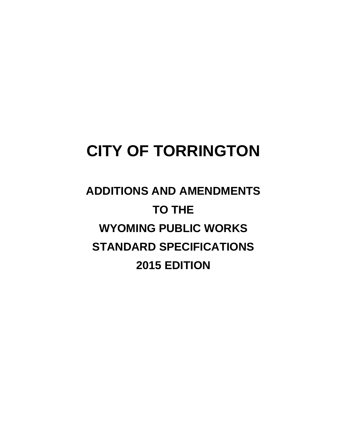# **CITY OF TORRINGTON**

**ADDITIONS AND AMENDMENTS TO THE WYOMING PUBLIC WORKS STANDARD SPECIFICATIONS 2015 EDITION**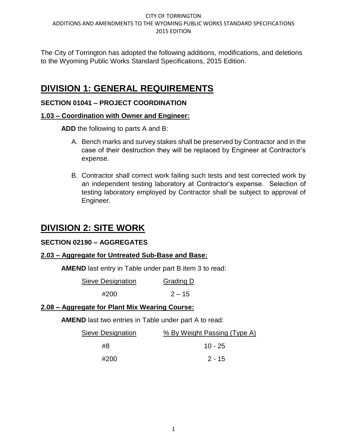The City of Torrington has adopted the following additions, modifications, and deletions to the Wyoming Public Works Standard Specifications, 2015 Edition.

# **DIVISION 1: GENERAL REQUIREMENTS**

# **SECTION 01041 – PROJECT COORDINATION**

# **1.03 – Coordination with Owner and Engineer:**

**ADD** the following to parts A and B:

- A. Bench marks and survey stakes shall be preserved by Contractor and in the case of their destruction they will be replaced by Engineer at Contractor's expense.
- B. Contractor shall correct work failing such tests and test corrected work by an independent testing laboratory at Contractor's expense. Selection of testing laboratory employed by Contractor shall be subject to approval of Engineer.

# **DIVISION 2: SITE WORK**

# **SECTION 02190 – AGGREGATES**

# **2.03 – Aggregate for Untreated Sub-Base and Base:**

**AMEND** last entry in Table under part B item 3 to read:

| Sieve Designation | Grading D |
|-------------------|-----------|
| #200              | $2 - 15$  |

## **2.08 – Aggregate for Plant Mix Wearing Course:**

**AMEND** last two entries in Table under part A to read:

| % By Weight Passing (Type A) |
|------------------------------|
| $10 - 25$                    |
| $2 - 15$                     |
|                              |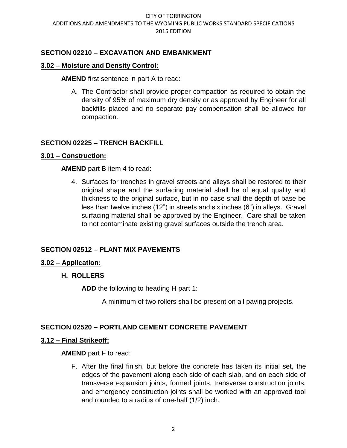# **SECTION 02210 – EXCAVATION AND EMBANKMENT**

## **3.02 – Moisture and Density Control:**

**AMEND** first sentence in part A to read:

A. The Contractor shall provide proper compaction as required to obtain the density of 95% of maximum dry density or as approved by Engineer for all backfills placed and no separate pay compensation shall be allowed for compaction.

# **SECTION 02225 – TRENCH BACKFILL**

## **3.01 – Construction:**

## **AMEND** part B item 4 to read:

4. Surfaces for trenches in gravel streets and alleys shall be restored to their original shape and the surfacing material shall be of equal quality and thickness to the original surface, but in no case shall the depth of base be less than twelve inches (12") in streets and six inches (6") in alleys. Gravel surfacing material shall be approved by the Engineer. Care shall be taken to not contaminate existing gravel surfaces outside the trench area.

# **SECTION 02512 – PLANT MIX PAVEMENTS**

## **3.02 – Application:**

## **H. ROLLERS**

**ADD** the following to heading H part 1:

A minimum of two rollers shall be present on all paving projects.

# **SECTION 02520 – PORTLAND CEMENT CONCRETE PAVEMENT**

## **3.12 – Final Strikeoff:**

**AMEND** part F to read:

F. After the final finish, but before the concrete has taken its initial set, the edges of the pavement along each side of each slab, and on each side of transverse expansion joints, formed joints, transverse construction joints, and emergency construction joints shall be worked with an approved tool and rounded to a radius of one-half (1/2) inch.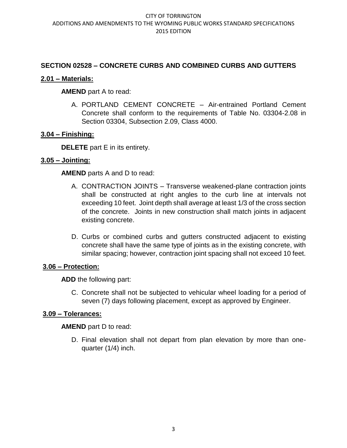# **SECTION 02528 – CONCRETE CURBS AND COMBINED CURBS AND GUTTERS**

# **2.01 – Materials:**

# **AMEND** part A to read:

A. PORTLAND CEMENT CONCRETE – Air-entrained Portland Cement Concrete shall conform to the requirements of Table No. 03304-2.08 in Section 03304, Subsection 2.09, Class 4000.

# **3.04 – Finishing:**

**DELETE** part E in its entirety.

# **3.05 – Jointing:**

**AMEND** parts A and D to read:

- A. CONTRACTION JOINTS Transverse weakened-plane contraction joints shall be constructed at right angles to the curb line at intervals not exceeding 10 feet. Joint depth shall average at least 1/3 of the cross section of the concrete. Joints in new construction shall match joints in adjacent existing concrete.
- D. Curbs or combined curbs and gutters constructed adjacent to existing concrete shall have the same type of joints as in the existing concrete, with similar spacing; however, contraction joint spacing shall not exceed 10 feet.

## **3.06 – Protection:**

**ADD** the following part:

C. Concrete shall not be subjected to vehicular wheel loading for a period of seven (7) days following placement, except as approved by Engineer.

# **3.09 – Tolerances:**

**AMEND** part D to read:

D. Final elevation shall not depart from plan elevation by more than onequarter (1/4) inch.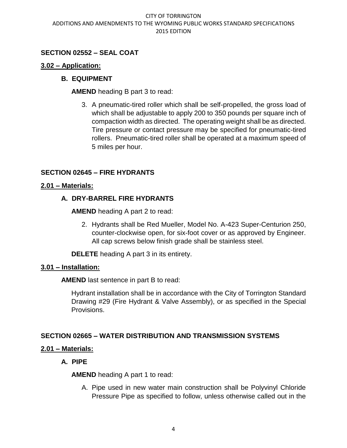# **SECTION 02552 – SEAL COAT**

## **3.02 – Application:**

## **B. EQUIPMENT**

**AMEND** heading B part 3 to read:

3. A pneumatic-tired roller which shall be self-propelled, the gross load of which shall be adjustable to apply 200 to 350 pounds per square inch of compaction width as directed. The operating weight shall be as directed. Tire pressure or contact pressure may be specified for pneumatic-tired rollers. Pneumatic-tired roller shall be operated at a maximum speed of 5 miles per hour.

## **SECTION 02645 – FIRE HYDRANTS**

#### **2.01 – Materials:**

## **A. DRY-BARREL FIRE HYDRANTS**

**AMEND** heading A part 2 to read:

2. Hydrants shall be Red Mueller, Model No. A-423 Super-Centurion 250, counter-clockwise open, for six-foot cover or as approved by Engineer. All cap screws below finish grade shall be stainless steel.

**DELETE** heading A part 3 in its entirety.

#### **3.01 – Installation:**

**AMEND** last sentence in part B to read:

Hydrant installation shall be in accordance with the City of Torrington Standard Drawing #29 (Fire Hydrant & Valve Assembly), or as specified in the Special Provisions.

## **SECTION 02665 – WATER DISTRIBUTION AND TRANSMISSION SYSTEMS**

## **2.01 – Materials:**

## **A. PIPE**

**AMEND** heading A part 1 to read:

A. Pipe used in new water main construction shall be Polyvinyl Chloride Pressure Pipe as specified to follow, unless otherwise called out in the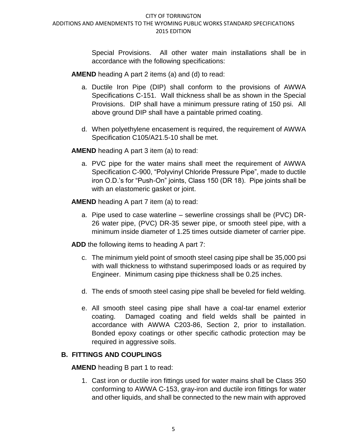Special Provisions. All other water main installations shall be in accordance with the following specifications:

**AMEND** heading A part 2 items (a) and (d) to read:

- a. Ductile Iron Pipe (DIP) shall conform to the provisions of AWWA Specifications C-151. Wall thickness shall be as shown in the Special Provisions. DIP shall have a minimum pressure rating of 150 psi. All above ground DIP shall have a paintable primed coating.
- d. When polyethylene encasement is required, the requirement of AWWA Specification C105/A21.5-10 shall be met.

**AMEND** heading A part 3 item (a) to read:

a. PVC pipe for the water mains shall meet the requirement of AWWA Specification C-900, "Polyvinyl Chloride Pressure Pipe", made to ductile iron O.D.'s for "Push-On" joints, Class 150 (DR 18). Pipe joints shall be with an elastomeric gasket or joint.

**AMEND** heading A part 7 item (a) to read:

a. Pipe used to case waterline – sewerline crossings shall be (PVC) DR-26 water pipe, (PVC) DR-35 sewer pipe, or smooth steel pipe, with a minimum inside diameter of 1.25 times outside diameter of carrier pipe.

**ADD** the following items to heading A part 7:

- c. The minimum yield point of smooth steel casing pipe shall be 35,000 psi with wall thickness to withstand superimposed loads or as required by Engineer. Minimum casing pipe thickness shall be 0.25 inches.
- d. The ends of smooth steel casing pipe shall be beveled for field welding.
- e. All smooth steel casing pipe shall have a coal-tar enamel exterior coating. Damaged coating and field welds shall be painted in accordance with AWWA C203-86, Section 2, prior to installation. Bonded epoxy coatings or other specific cathodic protection may be required in aggressive soils.

# **B. FITTINGS AND COUPLINGS**

**AMEND** heading B part 1 to read:

1. Cast iron or ductile iron fittings used for water mains shall be Class 350 conforming to AWWA C-153, gray-iron and ductile iron fittings for water and other liquids, and shall be connected to the new main with approved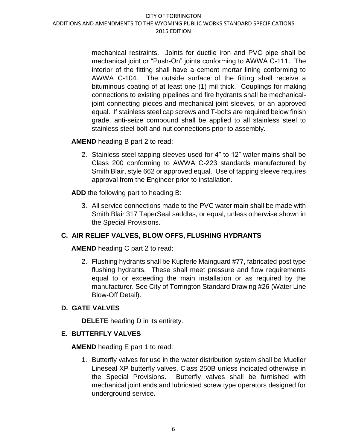mechanical restraints. Joints for ductile iron and PVC pipe shall be mechanical joint or "Push-On" joints conforming to AWWA C-111. The interior of the fitting shall have a cement mortar lining conforming to AWWA C-104. The outside surface of the fitting shall receive a bituminous coating of at least one (1) mil thick. Couplings for making connections to existing pipelines and fire hydrants shall be mechanicaljoint connecting pieces and mechanical-joint sleeves, or an approved equal. If stainless steel cap screws and T-bolts are required below finish grade, anti-seize compound shall be applied to all stainless steel to stainless steel bolt and nut connections prior to assembly.

**AMEND** heading B part 2 to read:

2. Stainless steel tapping sleeves used for 4" to 12" water mains shall be Class 200 conforming to AWWA C-223 standards manufactured by Smith Blair, style 662 or approved equal. Use of tapping sleeve requires approval from the Engineer prior to installation.

**ADD** the following part to heading B:

3. All service connections made to the PVC water main shall be made with Smith Blair 317 TaperSeal saddles, or equal, unless otherwise shown in the Special Provisions.

# **C. AIR RELIEF VALVES, BLOW OFFS, FLUSHING HYDRANTS**

**AMEND** heading C part 2 to read:

2. Flushing hydrants shall be Kupferle Mainguard #77, fabricated post type flushing hydrants. These shall meet pressure and flow requirements equal to or exceeding the main installation or as required by the manufacturer. See City of Torrington Standard Drawing #26 (Water Line Blow-Off Detail).

# **D. GATE VALVES**

**DELETE** heading D in its entirety.

# **E. BUTTERFLY VALVES**

**AMEND** heading E part 1 to read:

1. Butterfly valves for use in the water distribution system shall be Mueller Lineseal XP butterfly valves, Class 250B unless indicated otherwise in the Special Provisions. Butterfly valves shall be furnished with mechanical joint ends and lubricated screw type operators designed for underground service.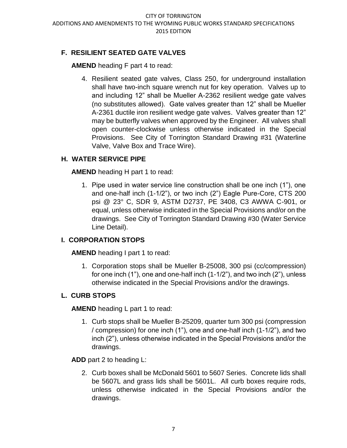# **F. RESILIENT SEATED GATE VALVES**

**AMEND** heading F part 4 to read:

4. Resilient seated gate valves, Class 250, for underground installation shall have two-inch square wrench nut for key operation. Valves up to and including 12" shall be Mueller A-2362 resilient wedge gate valves (no substitutes allowed). Gate valves greater than 12" shall be Mueller A-2361 ductile iron resilient wedge gate valves. Valves greater than 12" may be butterfly valves when approved by the Engineer. All valves shall open counter-clockwise unless otherwise indicated in the Special Provisions. See City of Torrington Standard Drawing #31 (Waterline Valve, Valve Box and Trace Wire).

# **H. WATER SERVICE PIPE**

**AMEND** heading H part 1 to read:

1. Pipe used in water service line construction shall be one inch (1"), one and one-half inch (1-1/2"), or two inch (2") Eagle Pure-Core, CTS 200 psi @ 23° C, SDR 9, ASTM D2737, PE 3408, C3 AWWA C-901, or equal, unless otherwise indicated in the Special Provisions and/or on the drawings. See City of Torrington Standard Drawing #30 (Water Service Line Detail).

# **I. CORPORATION STOPS**

**AMEND** heading I part 1 to read:

1. Corporation stops shall be Mueller B-25008, 300 psi (cc/compression) for one inch (1"), one and one-half inch (1-1/2"), and two inch (2"), unless otherwise indicated in the Special Provisions and/or the drawings.

# **L. CURB STOPS**

**AMEND** heading L part 1 to read:

1. Curb stops shall be Mueller B-25209, quarter turn 300 psi (compression / compression) for one inch (1"), one and one-half inch (1-1/2"), and two inch (2"), unless otherwise indicated in the Special Provisions and/or the drawings.

**ADD** part 2 to heading L:

2. Curb boxes shall be McDonald 5601 to 5607 Series. Concrete lids shall be 5607L and grass lids shall be 5601L. All curb boxes require rods, unless otherwise indicated in the Special Provisions and/or the drawings.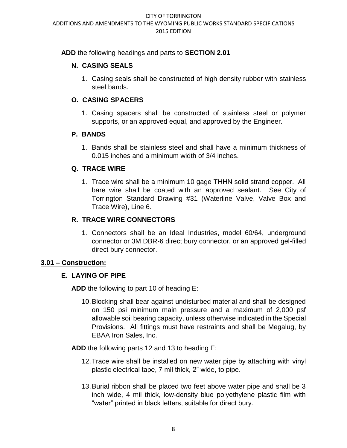# **ADD** the following headings and parts to **SECTION 2.01**

# **N. CASING SEALS**

1. Casing seals shall be constructed of high density rubber with stainless steel bands.

# **O. CASING SPACERS**

1. Casing spacers shall be constructed of stainless steel or polymer supports, or an approved equal, and approved by the Engineer.

# **P. BANDS**

1. Bands shall be stainless steel and shall have a minimum thickness of 0.015 inches and a minimum width of 3/4 inches.

# **Q. TRACE WIRE**

1. Trace wire shall be a minimum 10 gage THHN solid strand copper. All bare wire shall be coated with an approved sealant. See City of Torrington Standard Drawing #31 (Waterline Valve, Valve Box and Trace Wire), Line 6.

# **R. TRACE WIRE CONNECTORS**

1. Connectors shall be an Ideal Industries, model 60/64, underground connector or 3M DBR-6 direct bury connector, or an approved gel-filled direct bury connector.

# **3.01 – Construction:**

# **E. LAYING OF PIPE**

**ADD** the following to part 10 of heading E:

10.Blocking shall bear against undisturbed material and shall be designed on 150 psi minimum main pressure and a maximum of 2,000 psf allowable soil bearing capacity, unless otherwise indicated in the Special Provisions. All fittings must have restraints and shall be Megalug, by EBAA Iron Sales, Inc.

**ADD** the following parts 12 and 13 to heading E:

- 12.Trace wire shall be installed on new water pipe by attaching with vinyl plastic electrical tape, 7 mil thick, 2" wide, to pipe.
- 13.Burial ribbon shall be placed two feet above water pipe and shall be 3 inch wide, 4 mil thick, low-density blue polyethylene plastic film with "water" printed in black letters, suitable for direct bury.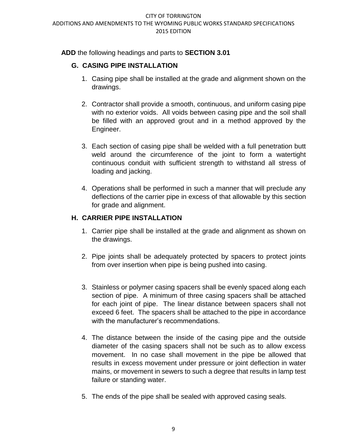**ADD** the following headings and parts to **SECTION 3.01** 

# **G. CASING PIPE INSTALLATION**

- 1. Casing pipe shall be installed at the grade and alignment shown on the drawings.
- 2. Contractor shall provide a smooth, continuous, and uniform casing pipe with no exterior voids. All voids between casing pipe and the soil shall be filled with an approved grout and in a method approved by the Engineer.
- 3. Each section of casing pipe shall be welded with a full penetration butt weld around the circumference of the joint to form a watertight continuous conduit with sufficient strength to withstand all stress of loading and jacking.
- 4. Operations shall be performed in such a manner that will preclude any deflections of the carrier pipe in excess of that allowable by this section for grade and alignment.

# **H. CARRIER PIPE INSTALLATION**

- 1. Carrier pipe shall be installed at the grade and alignment as shown on the drawings.
- 2. Pipe joints shall be adequately protected by spacers to protect joints from over insertion when pipe is being pushed into casing.
- 3. Stainless or polymer casing spacers shall be evenly spaced along each section of pipe. A minimum of three casing spacers shall be attached for each joint of pipe. The linear distance between spacers shall not exceed 6 feet. The spacers shall be attached to the pipe in accordance with the manufacturer's recommendations.
- 4. The distance between the inside of the casing pipe and the outside diameter of the casing spacers shall not be such as to allow excess movement. In no case shall movement in the pipe be allowed that results in excess movement under pressure or joint deflection in water mains, or movement in sewers to such a degree that results in lamp test failure or standing water.
- 5. The ends of the pipe shall be sealed with approved casing seals.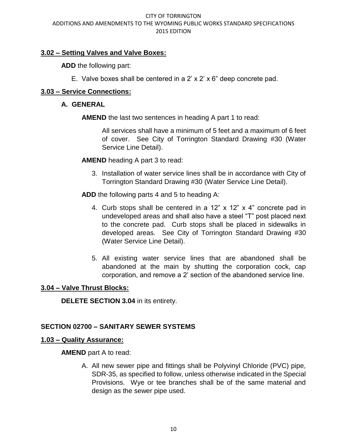# **3.02 – Setting Valves and Valve Boxes:**

**ADD** the following part:

E. Valve boxes shall be centered in a 2' x 2' x 6" deep concrete pad.

# **3.03 – Service Connections:**

## **A. GENERAL**

**AMEND** the last two sentences in heading A part 1 to read:

All services shall have a minimum of 5 feet and a maximum of 6 feet of cover. See City of Torrington Standard Drawing #30 (Water Service Line Detail).

**AMEND** heading A part 3 to read:

3. Installation of water service lines shall be in accordance with City of Torrington Standard Drawing #30 (Water Service Line Detail).

**ADD** the following parts 4 and 5 to heading A:

- 4. Curb stops shall be centered in a 12" x 12" x 4" concrete pad in undeveloped areas and shall also have a steel "T" post placed next to the concrete pad. Curb stops shall be placed in sidewalks in developed areas. See City of Torrington Standard Drawing #30 (Water Service Line Detail).
- 5. All existing water service lines that are abandoned shall be abandoned at the main by shutting the corporation cock, cap corporation, and remove a 2' section of the abandoned service line.

## **3.04 – Valve Thrust Blocks:**

**DELETE SECTION 3.04** in its entirety.

# **SECTION 02700 – SANITARY SEWER SYSTEMS**

## **1.03 – Quality Assurance:**

## **AMEND** part A to read:

A. All new sewer pipe and fittings shall be Polyvinyl Chloride (PVC) pipe, SDR-35, as specified to follow, unless otherwise indicated in the Special Provisions. Wye or tee branches shall be of the same material and design as the sewer pipe used.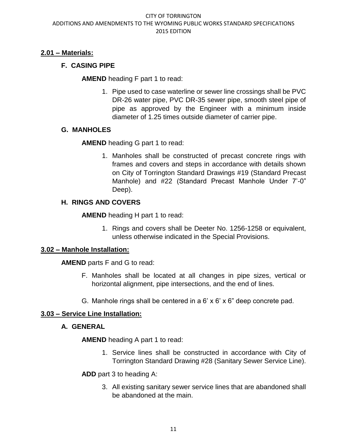# **2.01 – Materials:**

# **F. CASING PIPE**

**AMEND** heading F part 1 to read:

1. Pipe used to case waterline or sewer line crossings shall be PVC DR-26 water pipe, PVC DR-35 sewer pipe, smooth steel pipe of pipe as approved by the Engineer with a minimum inside diameter of 1.25 times outside diameter of carrier pipe.

# **G. MANHOLES**

**AMEND** heading G part 1 to read:

1. Manholes shall be constructed of precast concrete rings with frames and covers and steps in accordance with details shown on City of Torrington Standard Drawings #19 (Standard Precast Manhole) and #22 (Standard Precast Manhole Under 7'-0" Deep).

# **H. RINGS AND COVERS**

**AMEND** heading H part 1 to read:

1. Rings and covers shall be Deeter No. 1256-1258 or equivalent, unless otherwise indicated in the Special Provisions.

## **3.02 – Manhole Installation:**

**AMEND** parts F and G to read:

- F. Manholes shall be located at all changes in pipe sizes, vertical or horizontal alignment, pipe intersections, and the end of lines.
- G. Manhole rings shall be centered in a 6' x 6' x 6" deep concrete pad.

# **3.03 – Service Line Installation:**

## **A. GENERAL**

**AMEND** heading A part 1 to read:

1. Service lines shall be constructed in accordance with City of Torrington Standard Drawing #28 (Sanitary Sewer Service Line).

**ADD** part 3 to heading A:

3. All existing sanitary sewer service lines that are abandoned shall be abandoned at the main.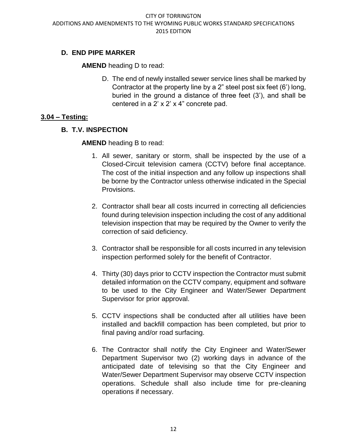# **D. END PIPE MARKER**

**AMEND** heading D to read:

D. The end of newly installed sewer service lines shall be marked by Contractor at the property line by a 2" steel post six feet (6') long, buried in the ground a distance of three feet (3'), and shall be centered in a 2' x 2' x 4" concrete pad.

# **3.04 – Testing:**

# **B. T.V. INSPECTION**

**AMEND** heading B to read:

- 1. All sewer, sanitary or storm, shall be inspected by the use of a Closed-Circuit television camera (CCTV) before final acceptance. The cost of the initial inspection and any follow up inspections shall be borne by the Contractor unless otherwise indicated in the Special Provisions.
- 2. Contractor shall bear all costs incurred in correcting all deficiencies found during television inspection including the cost of any additional television inspection that may be required by the Owner to verify the correction of said deficiency.
- 3. Contractor shall be responsible for all costs incurred in any television inspection performed solely for the benefit of Contractor.
- 4. Thirty (30) days prior to CCTV inspection the Contractor must submit detailed information on the CCTV company, equipment and software to be used to the City Engineer and Water/Sewer Department Supervisor for prior approval.
- 5. CCTV inspections shall be conducted after all utilities have been installed and backfill compaction has been completed, but prior to final paving and/or road surfacing.
- 6. The Contractor shall notify the City Engineer and Water/Sewer Department Supervisor two (2) working days in advance of the anticipated date of televising so that the City Engineer and Water/Sewer Department Supervisor may observe CCTV inspection operations. Schedule shall also include time for pre-cleaning operations if necessary.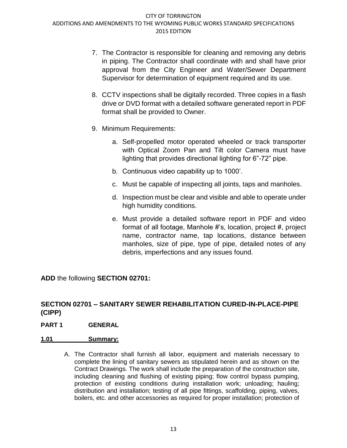- 7. The Contractor is responsible for cleaning and removing any debris in piping. The Contractor shall coordinate with and shall have prior approval from the City Engineer and Water/Sewer Department Supervisor for determination of equipment required and its use.
- 8. CCTV inspections shall be digitally recorded. Three copies in a flash drive or DVD format with a detailed software generated report in PDF format shall be provided to Owner.
- 9. Minimum Requirements:
	- a. Self-propelled motor operated wheeled or track transporter with Optical Zoom Pan and Tilt color Camera must have lighting that provides directional lighting for 6"-72" pipe.
	- b. Continuous video capability up to 1000'.
	- c. Must be capable of inspecting all joints, taps and manholes.
	- d. Inspection must be clear and visible and able to operate under high humidity conditions.
	- e. Must provide a detailed software report in PDF and video format of all footage, Manhole #'s, location, project #, project name, contractor name, tap locations, distance between manholes, size of pipe, type of pipe, detailed notes of any debris, imperfections and any issues found.

**ADD** the following **SECTION 02701:**

# **SECTION 02701 – SANITARY SEWER REHABILITATION CURED-IN-PLACE-PIPE (CIPP)**

**PART 1 GENERAL**

## **1.01 Summary:**

A. The Contractor shall furnish all labor, equipment and materials necessary to complete the lining of sanitary sewers as stipulated herein and as shown on the Contract Drawings. The work shall include the preparation of the construction site, including cleaning and flushing of existing piping; flow control bypass pumping, protection of existing conditions during installation work; unloading; hauling; distribution and installation; testing of all pipe fittings, scaffolding, piping, valves, boilers, etc. and other accessories as required for proper installation; protection of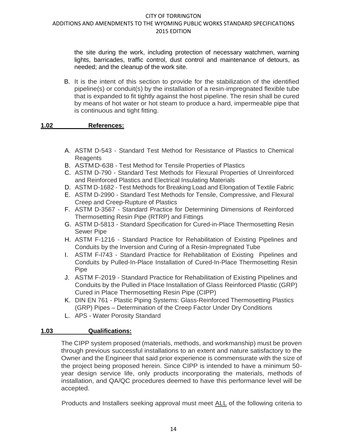the site during the work, including protection of necessary watchmen, warning lights, barricades, traffic control, dust control and maintenance of detours, as needed; and the cleanup of the work site.

B. It is the intent of this section to provide for the stabilization of the identified pipeline(s) or conduit(s) by the installation of a resin-impregnated flexible tube that is expanded to fit tightly against the host pipeline. The resin shall be cured by means of hot water or hot steam to produce a hard, impermeable pipe that is continuous and tight fitting.

## **1.02 References:**

- A. ASTM D-543 Standard Test Method for Resistance of Plastics to Chemical Reagents
- B. ASTMD-638 Test Method for Tensile Properties of Plastics
- C. ASTM D-790 Standard Test Methods for Flexural Properties of Unreinforced and Reinforced Plastics and Electrical Insulating Materials
- D. ASTM D-1682 Test Methods for Breaking Load and Elongation of Textile Fabric
- E. ASTM D-2990 Standard Test Methods for Tensile, Compressive, and Flexural Creep and Creep-Rupture of Plastics
- F. ASTM D-3567 Standard Practice for Determining Dimensions of Reinforced Thermosetting Resin Pipe (RTRP) and Fittings
- G. ASTM D-5813 Standard Specification for Cured-in-Place Thermosetting Resin Sewer Pipe
- H. ASTM F-1216 Standard Practice for Rehabilitation of Existing Pipelines and Conduits by the Inversion and Curing of a Resin-Impregnated Tube
- I. ASTM F-l743 Standard Practice for Rehabilitation of Existing Pipelines and Conduits by Pulled-In-Place Installation of Cured-In-Place Thermosetting Resin **Pipe**
- J. ASTM F-2019 Standard Practice for Rehabilitation of Existing Pipelines and Conduits by the Pulled in Place Installation of Glass Reinforced Plastic (GRP) Cured in Place Thermosetting Resin Pipe (CIPP)
- K. DIN EN 761 Plastic Piping Systems: Glass-Reinforced Thermosetting Plastics (GRP) Pipes – Determination of the Creep Factor Under Dry Conditions
- L. APS Water Porosity Standard

## **1.03 Qualifications:**

The CIPP system proposed (materials, methods, and workmanship) must be proven through previous successful installations to an extent and nature satisfactory to the Owner and the Engineer that said prior experience is commensurate with the size of the project being proposed herein. Since CIPP is intended to have a minimum 50 year design service life, only products incorporating the materials, methods of installation, and QA/QC procedures deemed to have this performance level will be accepted.

Products and Installers seeking approval must meet ALL of the following criteria to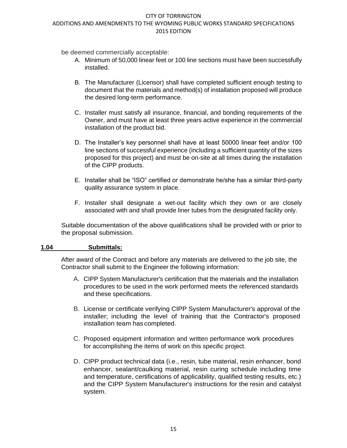be deemed commercially acceptable:

- A. Minimum of 50,000 linear feet or 100 line sections must have been successfully installed.
- B. The Manufacturer (Licensor) shall have completed sufficient enough testing to document that the materials and method(s) of installation proposed will produce the desired long-term performance.
- C. Installer must satisfy all insurance, financial, and bonding requirements of the Owner, and must have at least three years active experience in the commercial installation of the product bid.
- D. The Installer's key personnel shall have at least 50000 linear feet and/or 100 line sections of successful experience (including a sufficient quantity of the sizes proposed for this project) and must be on-site at all times during the installation of the CIPP products.
- E. Installer shall be "ISO" certified or demonstrate he/she has a similar third-party quality assurance system in place.
- F. Installer shall designate a wet-out facility which they own or are closely associated with and shall provide liner tubes from the designated facility only.

Suitable documentation of the above qualifications shall be provided with or prior to the proposal submission.

## **1.04 Submittals:**

After award of the Contract and before any materials are delivered to the job site, the Contractor shall submit to the Engineer the following information:

- A. CIPP System Manufacturer's certification that the materials and the installation procedures to be used in the work performed meets the referenced standards and these specifications.
- B. License or certificate verifying CIPP System Manufacturer's approval of the installer; including the level of training that the Contractor's proposed installation team has completed.
- C. Proposed equipment information and written performance work procedures for accomplishing the items of work on this specific project.
- D. CIPP product technical data (i.e., resin, tube material, resin enhancer, bond enhancer, sealant/caulking material, resin curing schedule including time and temperature, certifications of applicability, qualified testing results, etc.) and the CIPP System Manufacturer's instructions for the resin and catalyst system.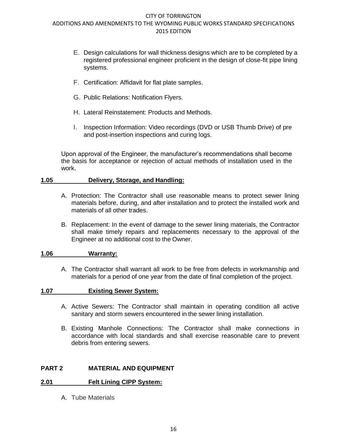- E. Design calculations for wall thickness designs which are to be completed by a registered professional engineer proficient in the design of close-fit pipe lining systems.
- F. Certification: Affidavit for flat plate samples.
- G. Public Relations: Notification Flyers.
- H. Lateral Reinstatement: Products and Methods.
- I. Inspection Information: Video recordings (DVD or USB Thumb Drive) of pre and post-insertion inspections and curing logs.

Upon approval of the Engineer, the manufacturer's recommendations shall become the basis for acceptance or rejection of actual methods of installation used in the work.

#### **1.05 Delivery, Storage, and Handling:**

- A. Protection: The Contractor shall use reasonable means to protect sewer lining materials before, during, and after installation and to protect the installed work and materials of all other trades.
- B. Replacement: In the event of damage to the sewer lining materials, the Contractor shall make timely repairs and replacements necessary to the approval of the Engineer at no additional cost to the Owner.

#### **1.06 Warranty:**

A. The Contractor shall warrant all work to be free from defects in workmanship and materials for a period of one year from the date of final completion of the project.

#### **1.07 Existing Sewer System:**

- A. Active Sewers: The Contractor shall maintain in operating condition all active sanitary and storm sewers encountered in the sewer lining installation.
- B. Existing Manhole Connections: The Contractor shall make connections in accordance with local standards and shall exercise reasonable care to prevent debris from entering sewers.

## **PART 2 MATERIAL AND EQUIPMENT**

#### **2.01 Felt Lining CIPP System:**

A. Tube Materials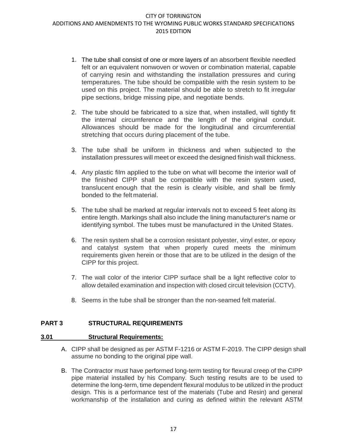- 1. The tube shall consist of one or more layers of an absorbent flexible needled felt or an equivalent nonwoven or woven or combination material, capable of carrying resin and withstanding the installation pressures and curing temperatures. The tube should be compatible with the resin system to be used on this project. The material should be able to stretch to fit irregular pipe sections, bridge missing pipe, and negotiate bends.
- 2. The tube should be fabricated to a size that, when installed, will tightly fit the internal circumference and the length of the original conduit. Allowances should be made for the longitudinal and circumferential stretching that occurs during placement of the tube.
- 3. The tube shall be uniform in thickness and when subjected to the installation pressures will meet or exceed the designed finish wall thickness.
- 4. Any plastic film applied to the tube on what will become the interior wall of the finished CIPP shall be compatible with the resin system used, translucent enough that the resin is clearly visible, and shall be firmly bonded to the felt material.
- 5. The tube shall be marked at regular intervals not to exceed 5 feet along its entire length. Markings shall also include the lining manufacturer's name or identifying symbol. The tubes must be manufactured in the United States.
- 6. The resin system shall be a corrosion resistant polyester, vinyl ester, or epoxy and catalyst system that when properly cured meets the minimum requirements given herein or those that are to be utilized in the design of the CIPP for this project.
- 7. The wall color of the interior CIPP surface shall be a light reflective color to allow detailed examination and inspection with closed circuit television (CCTV).
- 8. Seems in the tube shall be stronger than the non-seamed felt material.

#### **PART 3 STRUCTURAL REQUIREMENTS**

#### **3.01 Structural Requirements:**

- A. CIPP shall be designed as per ASTM F-1216 or ASTM F-2019. The CIPP design shall assume no bonding to the original pipe wall.
- B. The Contractor must have performed long-term testing for flexural creep of the CIPP pipe material installed by his Company. Such testing results are to be used to determine the long-term, time dependent flexural modulus to be utilized in the product design. This is a performance test of the materials (Tube and Resin) and general workmanship of the installation and curing as defined within the relevant ASTM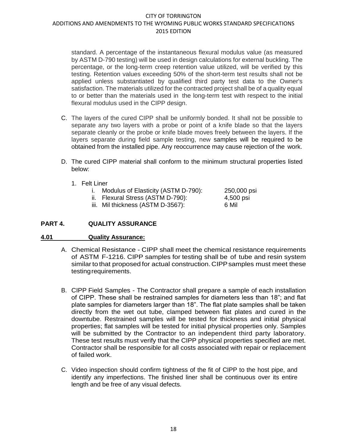standard. A percentage of the instantaneous flexural modulus value (as measured by ASTM D-790 testing) will be used in design calculations for external buckling. The percentage, or the long-term creep retention value utilized, will be verified by this testing. Retention values exceeding 50% of the short-term test results shall not be applied unless substantiated by qualified third party test data to the Owner's satisfaction. The materials utilized for the contracted project shall be of a quality equal to or better than the materials used in the long-term test with respect to the initial flexural modulus used in the CIPP design.

- C. The layers of the cured CIPP shall be uniformly bonded. It shall not be possible to separate any two layers with a probe or point of a knife blade so that the layers separate cleanly or the probe or knife blade moves freely between the layers. If the layers separate during field sample testing, new samples will be required to be obtained from the installed pipe. Any reoccurrence may cause rejection of the work.
- D. The cured CIPP material shall conform to the minimum structural properties listed below:
	- 1. Felt Liner

| Ι. | Modulus of Elasticity (ASTM D-790): | 250,000 psi |
|----|-------------------------------------|-------------|
|    | ii. Flexural Stress (ASTM D-790):   | 4,500 psi   |

iii. Mil thickness (ASTM D-3567): 6 Mil

# **PART 4. QUALITY ASSURANCE**

#### **4.01 Quality Assurance:**

- A. Chemical Resistance CIPP shall meet the chemical resistance requirements of ASTM F-1216. CIPP samples for testing shall be of tube and resin system similar to that proposed for actual construction. CIPP samples must meet these testingrequirements.
- B. CIPP Field Samples The Contractor shall prepare a sample of each installation of CIPP. These shall be restrained samples for diameters less than 18"; and flat plate samples for diameters larger than 18". The flat plate samples shall be taken directly from the wet out tube, clamped between flat plates and cured in the downtube. Restrained samples will be tested for thickness and initial physical properties; flat samples will be tested for initial physical properties only. Samples will be submitted by the Contractor to an independent third party laboratory. These test results must verify that the CIPP physical properties specified are met. Contractor shall be responsible for all costs associated with repair or replacement of failed work.
- C. Video inspection should confirm tightness of the fit of CIPP to the host pipe, and identify any imperfections. The finished liner shall be continuous over its entire length and be free of any visual defects.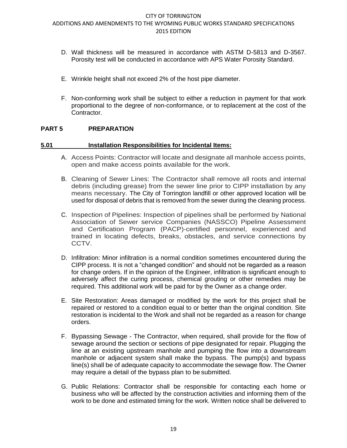- D. Wall thickness will be measured in accordance with ASTM D-5813 and D-3567. Porosity test will be conducted in accordance with APS Water Porosity Standard.
- E. Wrinkle height shall not exceed 2% of the host pipe diameter.
- F. Non-conforming work shall be subject to either a reduction in payment for that work proportional to the degree of non-conformance, or to replacement at the cost of the Contractor.

#### **PART 5 PREPARATION**

#### **5.01 Installation Responsibilities for Incidental Items:**

- A. Access Points: Contractor will locate and designate all manhole access points, open and make access points available for the work.
- B. Cleaning of Sewer Lines: The Contractor shall remove all roots and internal debris (including grease) from the sewer line prior to CIPP installation by any means necessary. The City of Torrington landfill or other approved location will be used for disposal of debris that is removed from the sewer during the cleaning process.
- C. Inspection of Pipelines: Inspection of pipelines shall be performed by National Association of Sewer service Companies (NASSCO) Pipeline Assessment and Certification Program (PACP)-certified personnel, experienced and trained in locating defects, breaks, obstacles, and service connections by CCTV.
- D. Infiltration: Minor infiltration is a normal condition sometimes encountered during the CIPP process. It is not a "changed condition" and should not be regarded as a reason for change orders. If in the opinion of the Engineer, infiltration is significant enough to adversely affect the curing process, chemical grouting or other remedies may be required. This additional work will be paid for by the Owner as a change order.
- E. Site Restoration: Areas damaged or modified by the work for this project shall be repaired or restored to a condition equal to or better than the original condition. Site restoration is incidental to the Work and shall not be regarded as a reason for change orders.
- F. Bypassing Sewage The Contractor, when required, shall provide for the flow of sewage around the section or sections of pipe designated for repair. Plugging the line at an existing upstream manhole and pumping the flow into a downstream manhole or adjacent system shall make the bypass. The pump(s) and bypass line(s) shall be of adequate capacity to accommodate the sewage flow. The Owner may require a detail of the bypass plan to be submitted.
- G. Public Relations: Contractor shall be responsible for contacting each home or business who will be affected by the construction activities and informing them of the work to be done and estimated timing for the work. Written notice shall be delivered to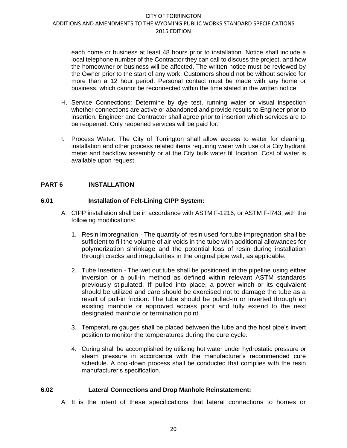each home or business at least 48 hours prior to installation. Notice shall include a local telephone number of the Contractor they can call to discuss the project, and how the homeowner or business will be affected. The written notice must be reviewed by the Owner prior to the start of any work. Customers should not be without service for more than a 12 hour period. Personal contact must be made with any home or business, which cannot be reconnected within the time stated in the written notice.

- H. Service Connections: Determine by dye test, running water or visual inspection whether connections are active or abandoned and provide results to Engineer prior to insertion. Engineer and Contractor shall agree prior to insertion which services are to be reopened. Only reopened services will be paid for.
- I. Process Water: The City of Torrington shall allow access to water for cleaning, installation and other process related items requiring water with use of a City hydrant meter and backflow assembly or at the City bulk water fill location. Cost of water is available upon request.

## **PART 6 INSTALLATION**

#### **6.01 Installation of Felt-Lining CIPP System:**

- A. CIPP installation shall be in accordance with ASTM F-1216, or ASTM F-l743, with the following modifications:
	- 1. Resin Impregnation The quantity of resin used for tube impregnation shall be sufficient to fill the volume of air voids in the tube with additional allowances for polymerization shrinkage and the potential loss of resin during installation through cracks and irregularities in the original pipe wall, as applicable.
	- 2. Tube Insertion The wet out tube shall be positioned in the pipeline using either inversion or a pull-in method as defined within relevant ASTM standards previously stipulated. If pulled into place, a power winch or its equivalent should be utilized and care should be exercised not to damage the tube as a result of pull-in friction. The tube should be pulled-in or inverted through an existing manhole or approved access point and fully extend to the next designated manhole or termination point.
	- 3. Temperature gauges shall be placed between the tube and the host pipe's invert position to monitor the temperatures during the cure cycle.
	- 4. Curing shall be accomplished by utilizing hot water under hydrostatic pressure or steam pressure in accordance with the manufacturer's recommended cure schedule. A cool-down process shall be conducted that complies with the resin manufacturer's specification.

#### **6.02 Lateral Connections and Drop Manhole Reinstatement:**

A. It is the intent of these specifications that lateral connections to homes or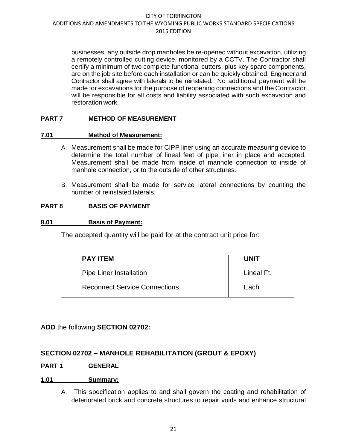businesses, any outside drop manholes be re-opened without excavation, utilizing a remotely controlled cutting device, monitored by a CCTV. The Contractor shall certify a minimum of two complete functional cutters, plus key spare components, are on the job site before each installation or can be quickly obtained. Engineer and Contractor shall agree with laterals to be reinstated. No additional payment will be made for excavations for the purpose of reopening connections and the Contractor will be responsible for all costs and liability associated with such excavation and restoration work.

## **PART 7 METHOD OF MEASUREMENT**

#### **7.01 Method of Measurement:**

- A. Measurement shall be made for CIPP liner using an accurate measuring device to determine the total number of lineal feet of pipe liner in place and accepted. Measurement shall be made from inside of manhole connection to inside of manhole connection, or to the outside of other structures.
- B. Measurement shall be made for service lateral connections by counting the number of reinstated laterals.

#### **PART 8 BASIS OF PAYMENT**

#### **8.01 Basis of Payment:**

The accepted quantity will be paid for at the contract unit price for:

| <b>PAY ITEM</b>                      | <b>UNIT</b> |
|--------------------------------------|-------------|
| <b>Pipe Liner Installation</b>       | Lineal Ft.  |
| <b>Reconnect Service Connections</b> | Each        |

**ADD** the following **SECTION 02702:**

## **SECTION 02702 – MANHOLE REHABILITATION (GROUT & EPOXY)**

#### **PART 1 GENERAL**

#### **1.01 Summary:**

A. This specification applies to and shall govern the coating and rehabilitation of deteriorated brick and concrete structures to repair voids and enhance structural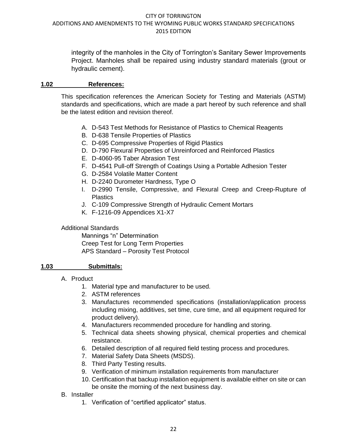integrity of the manholes in the City of Torrington's Sanitary Sewer Improvements Project. Manholes shall be repaired using industry standard materials (grout or hydraulic cement).

#### **1.02 References:**

This specification references the American Society for Testing and Materials (ASTM) standards and specifications, which are made a part hereof by such reference and shall be the latest edition and revision thereof.

- A. D-543 Test Methods for Resistance of Plastics to Chemical Reagents
- B. D-638 Tensile Properties of Plastics
- C. D-695 Compressive Properties of Rigid Plastics
- D. D-790 Flexural Properties of Unreinforced and Reinforced Plastics
- E. D-4060-95 Taber Abrasion Test
- F. D-4541 Pull-off Strength of Coatings Using a Portable Adhesion Tester
- G. D-2584 Volatile Matter Content
- H. D-2240 Durometer Hardness, Type O
- I. D-2990 Tensile, Compressive, and Flexural Creep and Creep-Rupture of **Plastics**
- J. C-109 Compressive Strength of Hydraulic Cement Mortars
- K. F-1216-09 Appendices X1-X7

#### Additional Standards

Mannings "n" Determination Creep Test for Long Term Properties APS Standard – Porosity Test Protocol

## **1.03 Submittals:**

- A. Product
	- 1. Material type and manufacturer to be used.
	- 2. ASTM references
	- 3. Manufactures recommended specifications (installation/application process including mixing, additives, set time, cure time, and all equipment required for product delivery).
	- 4. Manufacturers recommended procedure for handling and storing.
	- 5. Technical data sheets showing physical, chemical properties and chemical resistance.
	- 6. Detailed description of all required field testing process and procedures.
	- 7. Material Safety Data Sheets (MSDS).
	- 8. Third Party Testing results.
	- 9. Verification of minimum installation requirements from manufacturer
	- 10. Certification that backup installation equipment is available either on site or can be onsite the morning of the next business day.
- B. Installer
	- 1. Verification of "certified applicator" status.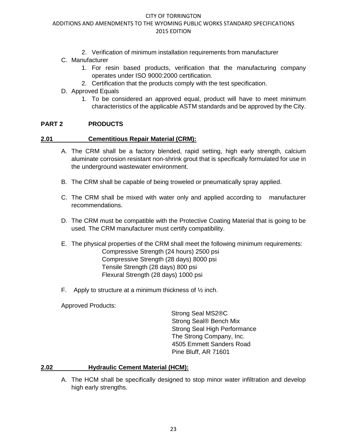#### CITY OF TORRINGTON

#### ADDITIONS AND AMENDMENTS TO THE WYOMING PUBLIC WORKS STANDARD SPECIFICATIONS 2015 EDITION

- 2. Verification of minimum installation requirements from manufacturer
- C. Manufacturer
	- 1. For resin based products, verification that the manufacturing company operates under ISO 9000:2000 certification.
	- 2. Certification that the products comply with the test specification.
- D. Approved Equals
	- 1. To be considered an approved equal, product will have to meet minimum characteristics of the applicable ASTM standards and be approved by the City.

#### **PART 2 PRODUCTS**

#### **2.01 Cementitious Repair Material (CRM):**

- A. The CRM shall be a factory blended, rapid setting, high early strength, calcium aluminate corrosion resistant non-shrink grout that is specifically formulated for use in the underground wastewater environment.
- B. The CRM shall be capable of being troweled or pneumatically spray applied.
- C. The CRM shall be mixed with water only and applied according to manufacturer recommendations.
- D. The CRM must be compatible with the Protective Coating Material that is going to be used. The CRM manufacturer must certify compatibility.
- E. The physical properties of the CRM shall meet the following minimum requirements: Compressive Strength (24 hours) 2500 psi Compressive Strength (28 days) 8000 psi Tensile Strength (28 days) 800 psi Flexural Strength (28 days) 1000 psi
- F. Apply to structure at a minimum thickness of  $\frac{1}{2}$  inch.

Approved Products:

Strong Seal MS2®C Strong Seal® Bench Mix Strong Seal High Performance The Strong Company, Inc. 4505 Emmett Sanders Road Pine Bluff, AR 71601

#### **2.02 Hydraulic Cement Material (HCM):**

A. The HCM shall be specifically designed to stop minor water infiltration and develop high early strengths.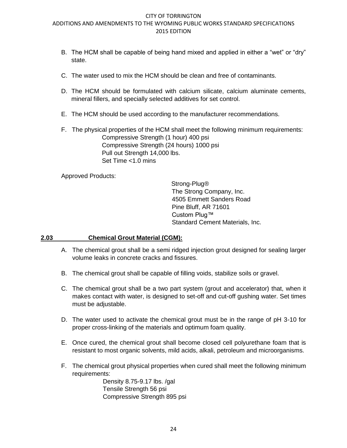- B. The HCM shall be capable of being hand mixed and applied in either a "wet" or "dry" state.
- C. The water used to mix the HCM should be clean and free of contaminants.
- D. The HCM should be formulated with calcium silicate, calcium aluminate cements, mineral fillers, and specially selected additives for set control.
- E. The HCM should be used according to the manufacturer recommendations.
- F. The physical properties of the HCM shall meet the following minimum requirements: Compressive Strength (1 hour) 400 psi Compressive Strength (24 hours) 1000 psi Pull out Strength 14,000 lbs. Set Time <1.0 mins

Approved Products:

Strong-Plug® The Strong Company, Inc. 4505 Emmett Sanders Road Pine Bluff, AR 71601 Custom Plug™ Standard Cement Materials, Inc.

#### **2.03 Chemical Grout Material (CGM):**

- A. The chemical grout shall be a semi ridged injection grout designed for sealing larger volume leaks in concrete cracks and fissures.
- B. The chemical grout shall be capable of filling voids, stabilize soils or gravel.
- C. The chemical grout shall be a two part system (grout and accelerator) that, when it makes contact with water, is designed to set-off and cut-off gushing water. Set times must be adjustable.
- D. The water used to activate the chemical grout must be in the range of pH 3-10 for proper cross-linking of the materials and optimum foam quality.
- E. Once cured, the chemical grout shall become closed cell polyurethane foam that is resistant to most organic solvents, mild acids, alkali, petroleum and microorganisms.
- F. The chemical grout physical properties when cured shall meet the following minimum requirements:

Density 8.75-9.17 lbs. /gal Tensile Strength 56 psi Compressive Strength 895 psi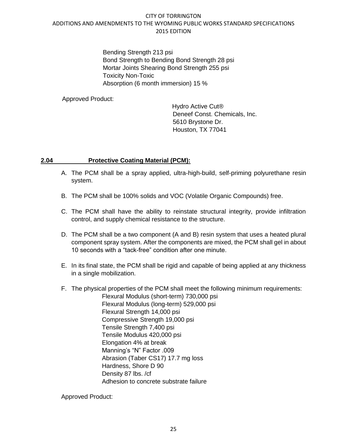Bending Strength 213 psi Bond Strength to Bending Bond Strength 28 psi Mortar Joints Shearing Bond Strength 255 psi Toxicity Non-Toxic Absorption (6 month immersion) 15 %

Approved Product:

Hydro Active Cut® Deneef Const. Chemicals, Inc. 5610 Brystone Dr. Houston, TX 77041

## **2.04 Protective Coating Material (PCM):**

- A. The PCM shall be a spray applied, ultra-high-build, self-priming polyurethane resin system.
- B. The PCM shall be 100% solids and VOC (Volatile Organic Compounds) free.
- C. The PCM shall have the ability to reinstate structural integrity, provide infiltration control, and supply chemical resistance to the structure.
- D. The PCM shall be a two component (A and B) resin system that uses a heated plural component spray system. After the components are mixed, the PCM shall gel in about 10 seconds with a "tack-free" condition after one minute.
- E. In its final state, the PCM shall be rigid and capable of being applied at any thickness in a single mobilization.
- F. The physical properties of the PCM shall meet the following minimum requirements: Flexural Modulus (short-term) 730,000 psi Flexural Modulus (long-term) 529,000 psi Flexural Strength 14,000 psi Compressive Strength 19,000 psi Tensile Strength 7,400 psi Tensile Modulus 420,000 psi Elongation 4% at break Manning's "N" Factor .009 Abrasion (Taber CS17) 17.7 mg loss Hardness, Shore D 90 Density 87 lbs. /cf Adhesion to concrete substrate failure

Approved Product: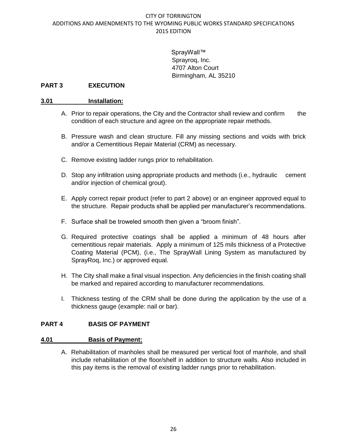SprayWall™ Sprayroq, Inc. 4707 Alton Court Birmingham, AL 35210

#### **PART 3 EXECUTION**

#### **3.01 Installation:**

- A. Prior to repair operations, the City and the Contractor shall review and confirm the condition of each structure and agree on the appropriate repair methods.
- B. Pressure wash and clean structure. Fill any missing sections and voids with brick and/or a Cementitious Repair Material (CRM) as necessary.
- C. Remove existing ladder rungs prior to rehabilitation.
- D. Stop any infiltration using appropriate products and methods (i.e., hydraulic cement and/or injection of chemical grout).
- E. Apply correct repair product (refer to part 2 above) or an engineer approved equal to the structure. Repair products shall be applied per manufacturer's recommendations.
- F. Surface shall be troweled smooth then given a "broom finish".
- G. Required protective coatings shall be applied a minimum of 48 hours after cementitious repair materials. Apply a minimum of 125 mils thickness of a Protective Coating Material (PCM), (i.e., The SprayWall Lining System as manufactured by SprayRoq, Inc.) or approved equal.
- H. The City shall make a final visual inspection. Any deficiencies in the finish coating shall be marked and repaired according to manufacturer recommendations.
- I. Thickness testing of the CRM shall be done during the application by the use of a thickness gauge (example: nail or bar).

#### **PART 4 BASIS OF PAYMENT**

#### **4.01 Basis of Payment:**

A. Rehabilitation of manholes shall be measured per vertical foot of manhole, and shall include rehabilitation of the floor/shelf in addition to structure walls. Also included in this pay items is the removal of existing ladder rungs prior to rehabilitation.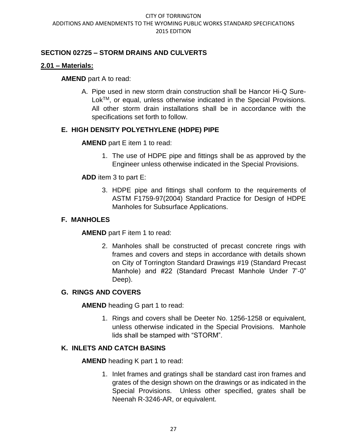# **SECTION 02725 – STORM DRAINS AND CULVERTS**

# **2.01 – Materials:**

## **AMEND** part A to read:

A. Pipe used in new storm drain construction shall be Hancor Hi-Q Sure-Lok™, or equal, unless otherwise indicated in the Special Provisions. All other storm drain installations shall be in accordance with the specifications set forth to follow.

# **E. HIGH DENSITY POLYETHYLENE (HDPE) PIPE**

## **AMEND** part E item 1 to read:

1. The use of HDPE pipe and fittings shall be as approved by the Engineer unless otherwise indicated in the Special Provisions.

## **ADD** item 3 to part E:

3. HDPE pipe and fittings shall conform to the requirements of ASTM F1759-97(2004) Standard Practice for Design of HDPE Manholes for Subsurface Applications.

## **F. MANHOLES**

**AMEND** part F item 1 to read:

2. Manholes shall be constructed of precast concrete rings with frames and covers and steps in accordance with details shown on City of Torrington Standard Drawings #19 (Standard Precast Manhole) and #22 (Standard Precast Manhole Under 7'-0" Deep).

## **G. RINGS AND COVERS**

**AMEND** heading G part 1 to read:

1. Rings and covers shall be Deeter No. 1256-1258 or equivalent, unless otherwise indicated in the Special Provisions. Manhole lids shall be stamped with "STORM".

# **K. INLETS AND CATCH BASINS**

**AMEND** heading K part 1 to read:

1. Inlet frames and gratings shall be standard cast iron frames and grates of the design shown on the drawings or as indicated in the Special Provisions. Unless other specified, grates shall be Neenah R-3246-AR, or equivalent.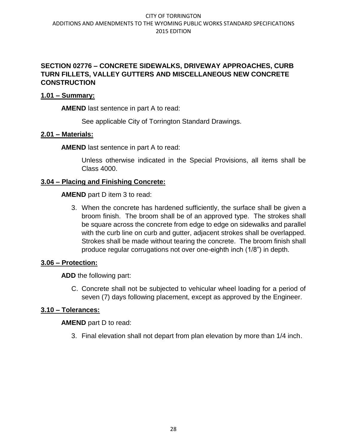# **SECTION 02776 – CONCRETE SIDEWALKS, DRIVEWAY APPROACHES, CURB TURN FILLETS, VALLEY GUTTERS AND MISCELLANEOUS NEW CONCRETE CONSTRUCTION**

## **1.01 – Summary:**

**AMEND** last sentence in part A to read:

See applicable City of Torrington Standard Drawings.

# **2.01 – Materials:**

**AMEND** last sentence in part A to read:

Unless otherwise indicated in the Special Provisions, all items shall be Class 4000.

# **3.04 – Placing and Finishing Concrete:**

**AMEND** part D item 3 to read:

3. When the concrete has hardened sufficiently, the surface shall be given a broom finish. The broom shall be of an approved type. The strokes shall be square across the concrete from edge to edge on sidewalks and parallel with the curb line on curb and gutter, adjacent strokes shall be overlapped. Strokes shall be made without tearing the concrete. The broom finish shall produce regular corrugations not over one-eighth inch (1/8") in depth.

# **3.06 – Protection:**

**ADD** the following part:

C. Concrete shall not be subjected to vehicular wheel loading for a period of seven (7) days following placement, except as approved by the Engineer.

# **3.10 – Tolerances:**

**AMEND** part D to read:

3. Final elevation shall not depart from plan elevation by more than 1/4 inch.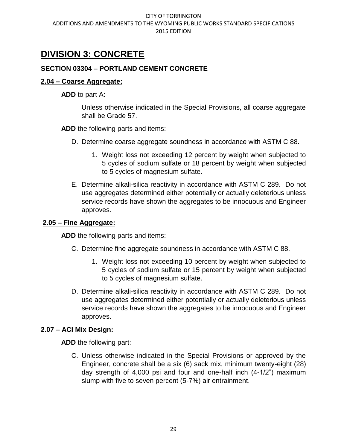# **DIVISION 3: CONCRETE**

# **SECTION 03304 – PORTLAND CEMENT CONCRETE**

## **2.04 – Coarse Aggregate:**

**ADD** to part A:

Unless otherwise indicated in the Special Provisions, all coarse aggregate shall be Grade 57.

**ADD** the following parts and items:

- D. Determine coarse aggregate soundness in accordance with ASTM C 88.
	- 1. Weight loss not exceeding 12 percent by weight when subjected to 5 cycles of sodium sulfate or 18 percent by weight when subjected to 5 cycles of magnesium sulfate.
- E. Determine alkali-silica reactivity in accordance with ASTM C 289. Do not use aggregates determined either potentially or actually deleterious unless service records have shown the aggregates to be innocuous and Engineer approves.

## **2.05 – Fine Aggregate:**

**ADD** the following parts and items:

- C. Determine fine aggregate soundness in accordance with ASTM C 88.
	- 1. Weight loss not exceeding 10 percent by weight when subjected to 5 cycles of sodium sulfate or 15 percent by weight when subjected to 5 cycles of magnesium sulfate.
- D. Determine alkali-silica reactivity in accordance with ASTM C 289. Do not use aggregates determined either potentially or actually deleterious unless service records have shown the aggregates to be innocuous and Engineer approves.

## **2.07 – ACI Mix Design:**

**ADD** the following part:

C. Unless otherwise indicated in the Special Provisions or approved by the Engineer, concrete shall be a six (6) sack mix, minimum twenty-eight (28) day strength of 4,000 psi and four and one-half inch (4-1/2") maximum slump with five to seven percent (5-7%) air entrainment.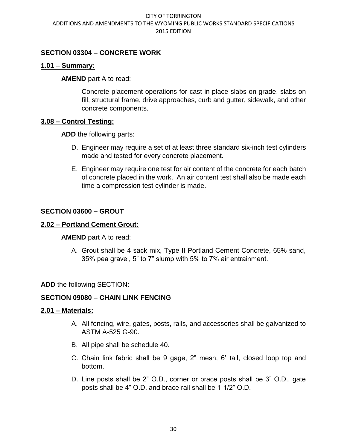# **SECTION 03304 – CONCRETE WORK**

## **1.01 – Summary:**

**AMEND** part A to read:

Concrete placement operations for cast-in-place slabs on grade, slabs on fill, structural frame, drive approaches, curb and gutter, sidewalk, and other concrete components.

## **3.08 – Control Testing:**

**ADD** the following parts:

- D. Engineer may require a set of at least three standard six-inch test cylinders made and tested for every concrete placement.
- E. Engineer may require one test for air content of the concrete for each batch of concrete placed in the work. An air content test shall also be made each time a compression test cylinder is made.

## **SECTION 03600 – GROUT**

## **2.02 – Portland Cement Grout:**

#### **AMEND** part A to read:

A. Grout shall be 4 sack mix, Type II Portland Cement Concrete, 65% sand, 35% pea gravel, 5" to 7" slump with 5% to 7% air entrainment.

## **ADD** the following SECTION:

## **SECTION 09080 – CHAIN LINK FENCING**

#### **2.01 – Materials:**

- A. All fencing, wire, gates, posts, rails, and accessories shall be galvanized to ASTM A-525 G-90.
- B. All pipe shall be schedule 40.
- C. Chain link fabric shall be 9 gage, 2" mesh, 6' tall, closed loop top and bottom.
- D. Line posts shall be 2" O.D., corner or brace posts shall be 3" O.D., gate posts shall be 4" O.D. and brace rail shall be 1-1/2" O.D.